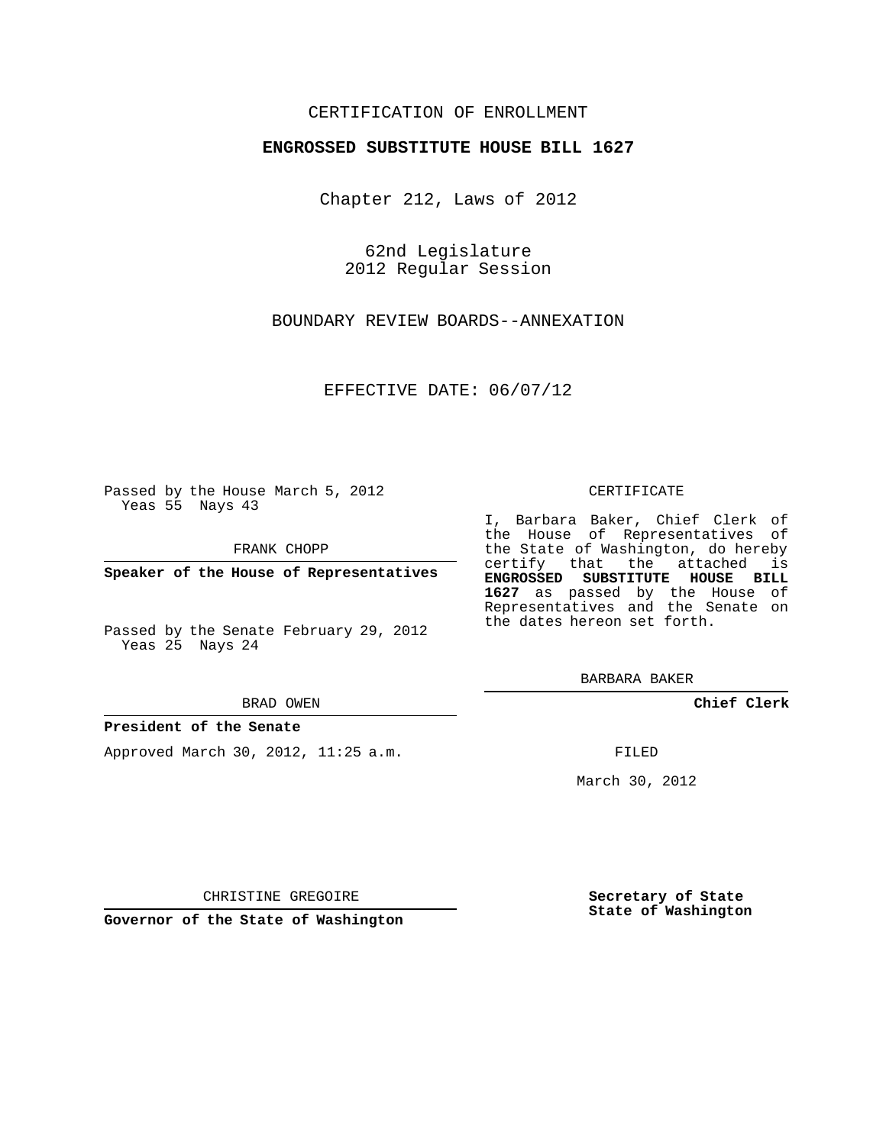## CERTIFICATION OF ENROLLMENT

### **ENGROSSED SUBSTITUTE HOUSE BILL 1627**

Chapter 212, Laws of 2012

62nd Legislature 2012 Regular Session

BOUNDARY REVIEW BOARDS--ANNEXATION

EFFECTIVE DATE: 06/07/12

Passed by the House March 5, 2012 Yeas 55 Nays 43

FRANK CHOPP

**Speaker of the House of Representatives**

Passed by the Senate February 29, 2012 Yeas 25 Nays 24

#### BRAD OWEN

## **President of the Senate**

Approved March 30, 2012, 11:25 a.m.

#### CERTIFICATE

I, Barbara Baker, Chief Clerk of the House of Representatives of the State of Washington, do hereby certify that the attached is **ENGROSSED SUBSTITUTE HOUSE BILL 1627** as passed by the House of Representatives and the Senate on the dates hereon set forth.

BARBARA BAKER

**Chief Clerk**

FILED

March 30, 2012

**Secretary of State State of Washington**

CHRISTINE GREGOIRE

**Governor of the State of Washington**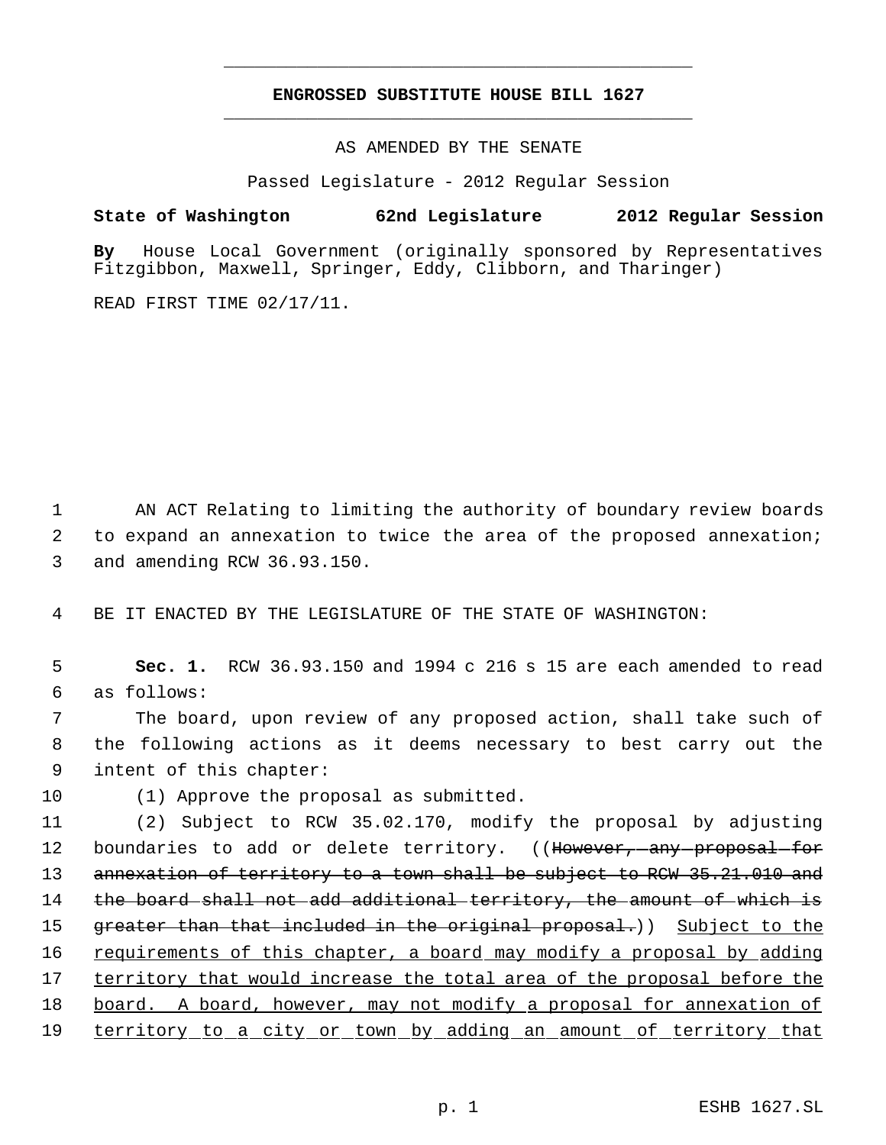# **ENGROSSED SUBSTITUTE HOUSE BILL 1627** \_\_\_\_\_\_\_\_\_\_\_\_\_\_\_\_\_\_\_\_\_\_\_\_\_\_\_\_\_\_\_\_\_\_\_\_\_\_\_\_\_\_\_\_\_

\_\_\_\_\_\_\_\_\_\_\_\_\_\_\_\_\_\_\_\_\_\_\_\_\_\_\_\_\_\_\_\_\_\_\_\_\_\_\_\_\_\_\_\_\_

AS AMENDED BY THE SENATE

Passed Legislature - 2012 Regular Session

**State of Washington 62nd Legislature 2012 Regular Session**

**By** House Local Government (originally sponsored by Representatives Fitzgibbon, Maxwell, Springer, Eddy, Clibborn, and Tharinger)

READ FIRST TIME 02/17/11.

1 AN ACT Relating to limiting the authority of boundary review boards 2 to expand an annexation to twice the area of the proposed annexation; 3 and amending RCW 36.93.150.

4 BE IT ENACTED BY THE LEGISLATURE OF THE STATE OF WASHINGTON:

 5 **Sec. 1.** RCW 36.93.150 and 1994 c 216 s 15 are each amended to read 6 as follows:

 7 The board, upon review of any proposed action, shall take such of 8 the following actions as it deems necessary to best carry out the 9 intent of this chapter:

10 (1) Approve the proposal as submitted.

11 (2) Subject to RCW 35.02.170, modify the proposal by adjusting 12 boundaries to add or delete territory. ((However, any proposal for 13 annexation of territory to a town shall be subject to RCW 35.21.010 and 14 the board shall not add additional territory, the amount of which is 15 greater than that included in the original proposal.)) Subject to the 16 requirements of this chapter, a board may modify a proposal by adding 17 territory that would increase the total area of the proposal before the 18 board. A board, however, may not modify a proposal for annexation of 19 territory to a city or town by adding an amount of territory that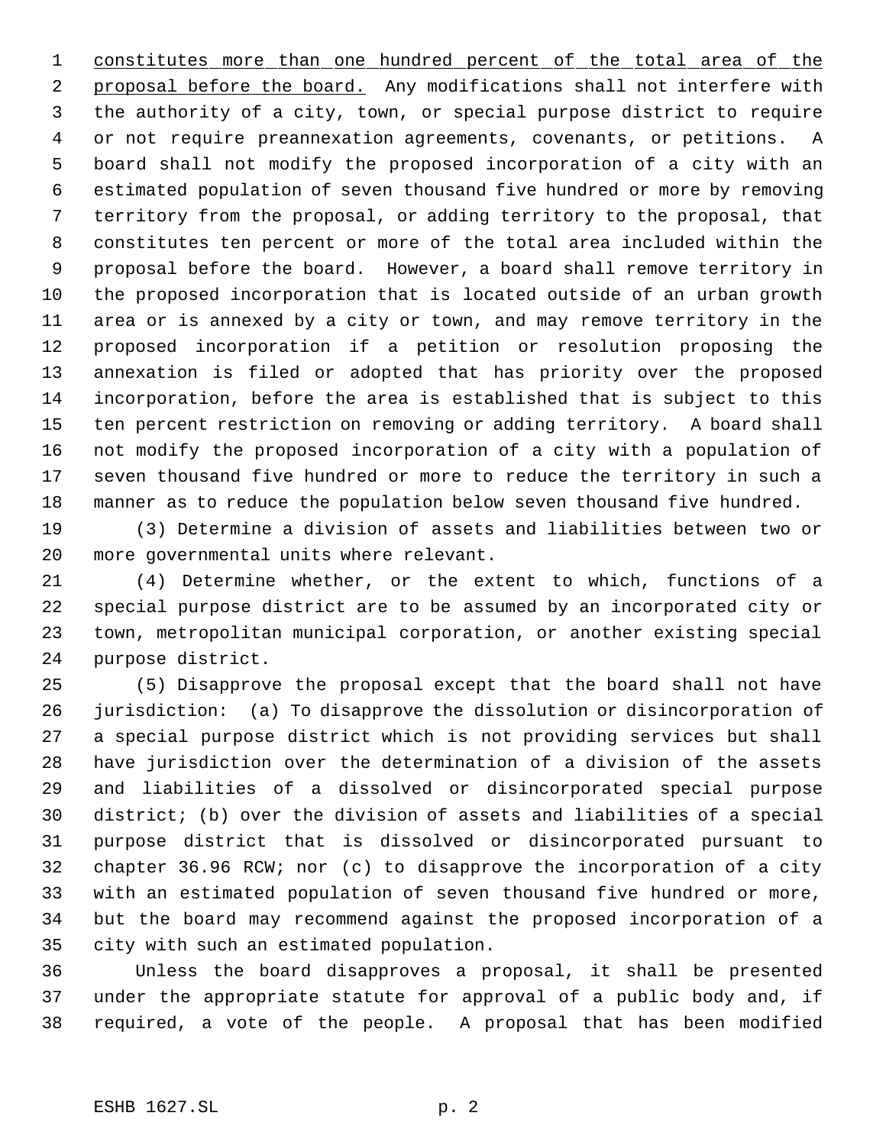1 constitutes more than one hundred percent of the total area of the 2 proposal before the board. Any modifications shall not interfere with the authority of a city, town, or special purpose district to require or not require preannexation agreements, covenants, or petitions. A board shall not modify the proposed incorporation of a city with an estimated population of seven thousand five hundred or more by removing territory from the proposal, or adding territory to the proposal, that constitutes ten percent or more of the total area included within the proposal before the board. However, a board shall remove territory in the proposed incorporation that is located outside of an urban growth area or is annexed by a city or town, and may remove territory in the proposed incorporation if a petition or resolution proposing the annexation is filed or adopted that has priority over the proposed incorporation, before the area is established that is subject to this ten percent restriction on removing or adding territory. A board shall not modify the proposed incorporation of a city with a population of seven thousand five hundred or more to reduce the territory in such a manner as to reduce the population below seven thousand five hundred.

 (3) Determine a division of assets and liabilities between two or more governmental units where relevant.

 (4) Determine whether, or the extent to which, functions of a special purpose district are to be assumed by an incorporated city or town, metropolitan municipal corporation, or another existing special purpose district.

 (5) Disapprove the proposal except that the board shall not have jurisdiction: (a) To disapprove the dissolution or disincorporation of a special purpose district which is not providing services but shall have jurisdiction over the determination of a division of the assets and liabilities of a dissolved or disincorporated special purpose district; (b) over the division of assets and liabilities of a special purpose district that is dissolved or disincorporated pursuant to chapter 36.96 RCW; nor (c) to disapprove the incorporation of a city with an estimated population of seven thousand five hundred or more, but the board may recommend against the proposed incorporation of a city with such an estimated population.

 Unless the board disapproves a proposal, it shall be presented under the appropriate statute for approval of a public body and, if required, a vote of the people. A proposal that has been modified